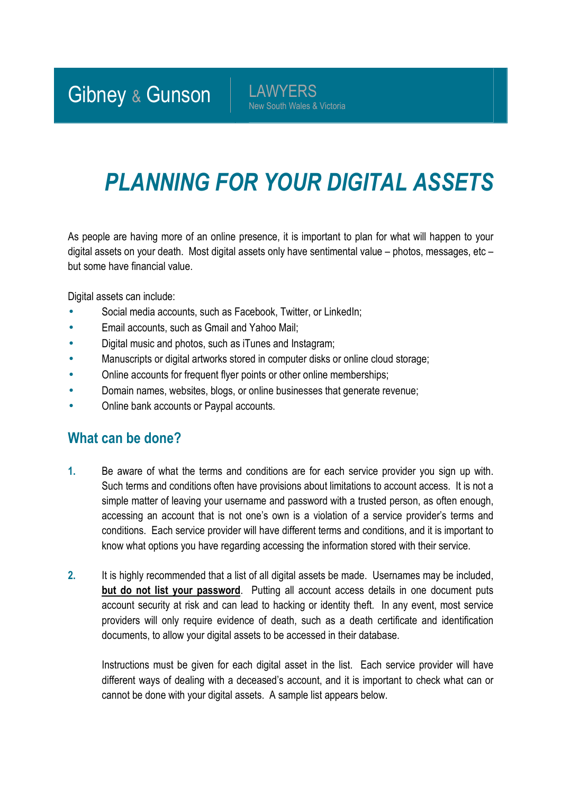Gibney & Gunson | LAWYERS

New South Wales & Victoria

## *PLANNING FOR YOUR DIGITAL ASSETS*

As people are having more of an online presence, it is important to plan for what will happen to your digital assets on your death. Most digital assets only have sentimental value – photos, messages, etc – but some have financial value.

Digital assets can include:

- Social media accounts, such as Facebook, Twitter, or LinkedIn;
- Email accounts, such as Gmail and Yahoo Mail;
- Digital music and photos, such as iTunes and Instagram;
- Manuscripts or digital artworks stored in computer disks or online cloud storage;
- Online accounts for frequent flyer points or other online memberships;
- Domain names, websites, blogs, or online businesses that generate revenue;
- Online bank accounts or Paypal accounts.

## **What can be done?**

- **1.** Be aware of what the terms and conditions are for each service provider you sign up with. Such terms and conditions often have provisions about limitations to account access. It is not a simple matter of leaving your username and password with a trusted person, as often enough, accessing an account that is not one's own is a violation of a service provider's terms and conditions. Each service provider will have different terms and conditions, and it is important to know what options you have regarding accessing the information stored with their service.
- **2.** It is highly recommended that a list of all digital assets be made. Usernames may be included, **but do not list your password**. Putting all account access details in one document puts account security at risk and can lead to hacking or identity theft. In any event, most service providers will only require evidence of death, such as a death certificate and identification documents, to allow your digital assets to be accessed in their database.

Instructions must be given for each digital asset in the list. Each service provider will have different ways of dealing with a deceased's account, and it is important to check what can or cannot be done with your digital assets. A sample list appears below.